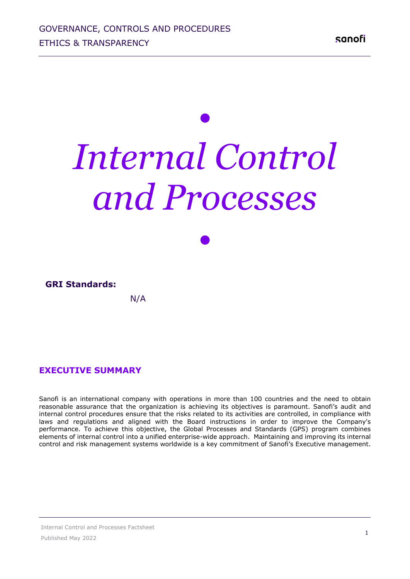# *• Internal Control and Processes*

| <b>GRI Standards:</b> |     |  |
|-----------------------|-----|--|
|                       | N/A |  |

*•*

#### **EXECUTIVE SUMMARY**

Sanofi is an international company with operations in more than 100 countries and the need to obtain reasonable assurance that the organization is achieving its objectives is paramount. Sanofi's audit and internal control procedures ensure that the risks related to its activities are controlled, in compliance with laws and regulations and aligned with the Board instructions in order to improve the Company's performance. To achieve this objective, the Global Processes and Standards (GPS) program combines elements of internal control into a unified enterprise-wide approach. Maintaining and improving its internal control and risk management systems worldwide is a key commitment of Sanofi's Executive management.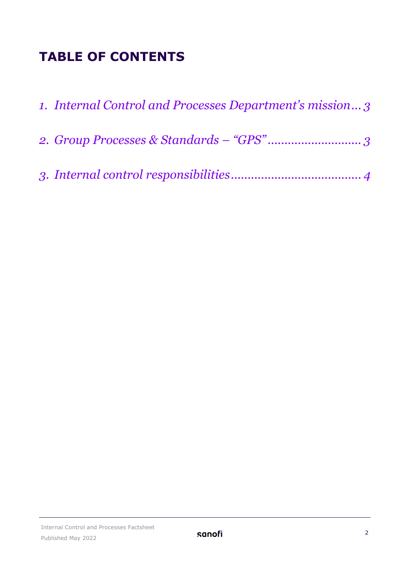## **TABLE OF CONTENTS**

| 1. Internal Control and Processes Department's mission 3 |
|----------------------------------------------------------|
|                                                          |
|                                                          |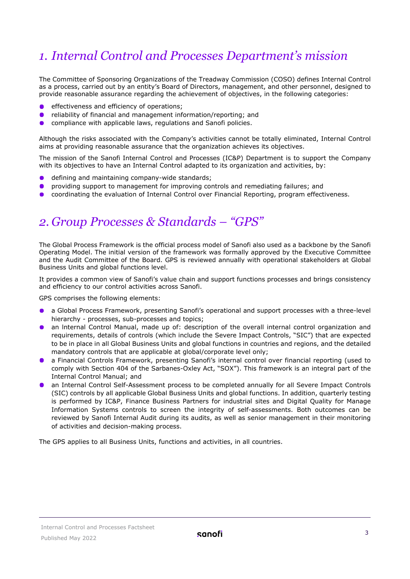#### <span id="page-2-0"></span>*1. Internal Control and Processes Department's mission*

The Committee of Sponsoring Organizations of the Treadway Commission (COSO) defines Internal Control as a process, carried out by an entity's Board of Directors, management, and other personnel, designed to provide reasonable assurance regarding the achievement of objectives, in the following categories:

- effectiveness and efficiency of operations;
- **•** reliability of financial and management information/reporting; and
- $\bullet$ compliance with applicable laws, regulations and Sanofi policies.

Although the risks associated with the Company's activities cannot be totally eliminated, Internal Control aims at providing reasonable assurance that the organization achieves its objectives.

The mission of the Sanofi Internal Control and Processes (IC&P) Department is to support the Company with its objectives to have an Internal Control adapted to its organization and activities, by:

- defining and maintaining company-wide standards;
- providing support to management for improving controls and remediating failures; and
- $\bullet$ coordinating the evaluation of Internal Control over Financial Reporting, program effectiveness.

#### <span id="page-2-1"></span>*2. Group Processes & Standards – "GPS"*

The Global Process Framework is the official process model of Sanofi also used as a backbone by the Sanofi Operating Model. The initial version of the framework was formally approved by the Executive Committee and the Audit Committee of the Board. GPS is reviewed annually with operational stakeholders at Global Business Units and global functions level.

It provides a common view of Sanofi's value chain and support functions processes and brings consistency and efficiency to our control activities across Sanofi.

GPS comprises the following elements:

- a Global Process Framework, presenting Sanofi's operational and support processes with a three-level hierarchy - processes, sub-processes and topics;
- an lnternal Control Manual, made up of: description of the overall internal control organization and requirements, details of controls (which include the Severe Impact Controls, "SIC") that are expected to be in place in all Global Business Units and global functions in countries and regions, and the detailed mandatory controls that are applicable at global/corporate level only;
- a Financial Controls Framework, presenting Sanofi's internal control over financial reporting (used to comply with Section 404 of the Sarbanes-Oxley Act, "SOX"). This framework is an integral part of the Internal Control Manual; and
- an Internal Control Self-Assessment process to be completed annually for all Severe Impact Controls (SIC) controls by all applicable Global Business Units and global functions. In addition, quarterly testing is performed by IC&P, Finance Business Partners for industrial sites and Digital Quality for Manage Information Systems controls to screen the integrity of self-assessments. Both outcomes can be reviewed by Sanofi Internal Audit during its audits, as well as senior management in their monitoring of activities and decision-making process.

The GPS applies to all Business Units, functions and activities, in all countries.